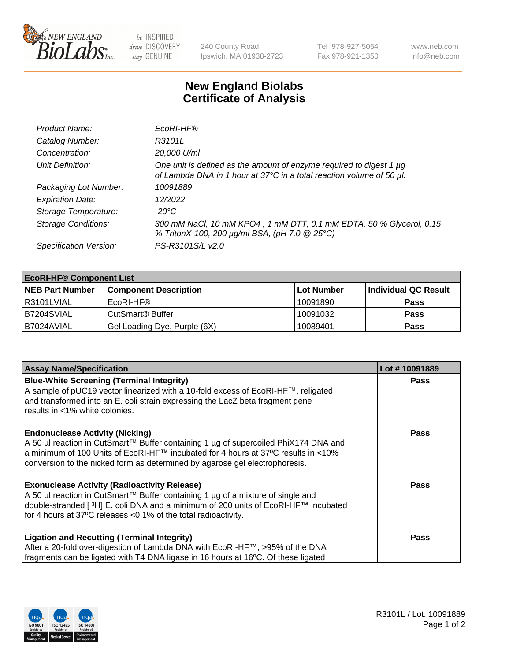

 $be$  INSPIRED drive DISCOVERY stay GENUINE

240 County Road Ipswich, MA 01938-2723 Tel 978-927-5054 Fax 978-921-1350 www.neb.com info@neb.com

## **New England Biolabs Certificate of Analysis**

| Product Name:              | EcoRI-HF®                                                                                                                                   |
|----------------------------|---------------------------------------------------------------------------------------------------------------------------------------------|
| Catalog Number:            | R3101L                                                                                                                                      |
| Concentration:             | 20,000 U/ml                                                                                                                                 |
| Unit Definition:           | One unit is defined as the amount of enzyme required to digest 1 µg<br>of Lambda DNA in 1 hour at 37°C in a total reaction volume of 50 µl. |
| Packaging Lot Number:      | 10091889                                                                                                                                    |
| <b>Expiration Date:</b>    | 12/2022                                                                                                                                     |
| Storage Temperature:       | -20°C                                                                                                                                       |
| <b>Storage Conditions:</b> | 300 mM NaCl, 10 mM KPO4, 1 mM DTT, 0.1 mM EDTA, 50 % Glycerol, 0.15<br>% TritonX-100, 200 µg/ml BSA, (pH 7.0 @ 25°C)                        |
| Specification Version:     | PS-R3101S/L v2.0                                                                                                                            |

| <b>EcoRI-HF® Component List</b> |                              |                   |                      |  |  |
|---------------------------------|------------------------------|-------------------|----------------------|--|--|
| <b>NEB Part Number</b>          | <b>Component Description</b> | <b>Lot Number</b> | Individual QC Result |  |  |
| I R3101LVIAL                    | EcoRI-HF®                    | 10091890          | <b>Pass</b>          |  |  |
| B7204SVIAL                      | CutSmart <sup>®</sup> Buffer | 10091032          | <b>Pass</b>          |  |  |
| I B7024AVIAL                    | Gel Loading Dye, Purple (6X) | 10089401          | <b>Pass</b>          |  |  |

| <b>Assay Name/Specification</b>                                                                                                                                                                                                                                                                               | Lot #10091889 |
|---------------------------------------------------------------------------------------------------------------------------------------------------------------------------------------------------------------------------------------------------------------------------------------------------------------|---------------|
| <b>Blue-White Screening (Terminal Integrity)</b><br>A sample of pUC19 vector linearized with a 10-fold excess of EcoRI-HF™, religated<br>and transformed into an E. coli strain expressing the LacZ beta fragment gene                                                                                        | <b>Pass</b>   |
| results in <1% white colonies.                                                                                                                                                                                                                                                                                |               |
| <b>Endonuclease Activity (Nicking)</b><br>A 50 µl reaction in CutSmart™ Buffer containing 1 µg of supercoiled PhiX174 DNA and<br>  a minimum of 100 Units of EcoRI-HF™ incubated for 4 hours at 37°C results in <10%<br>conversion to the nicked form as determined by agarose gel electrophoresis.           | <b>Pass</b>   |
| <b>Exonuclease Activity (Radioactivity Release)</b><br>  A 50 µl reaction in CutSmart™ Buffer containing 1 µg of a mixture of single and<br>double-stranded [ <sup>3</sup> H] E. coli DNA and a minimum of 200 units of EcoRI-HF™ incubated<br>for 4 hours at 37°C releases <0.1% of the total radioactivity. | Pass          |
| <b>Ligation and Recutting (Terminal Integrity)</b>                                                                                                                                                                                                                                                            | <b>Pass</b>   |
| After a 20-fold over-digestion of Lambda DNA with EcoRI-HF™, >95% of the DNA                                                                                                                                                                                                                                  |               |
| fragments can be ligated with T4 DNA ligase in 16 hours at 16°C. Of these ligated                                                                                                                                                                                                                             |               |